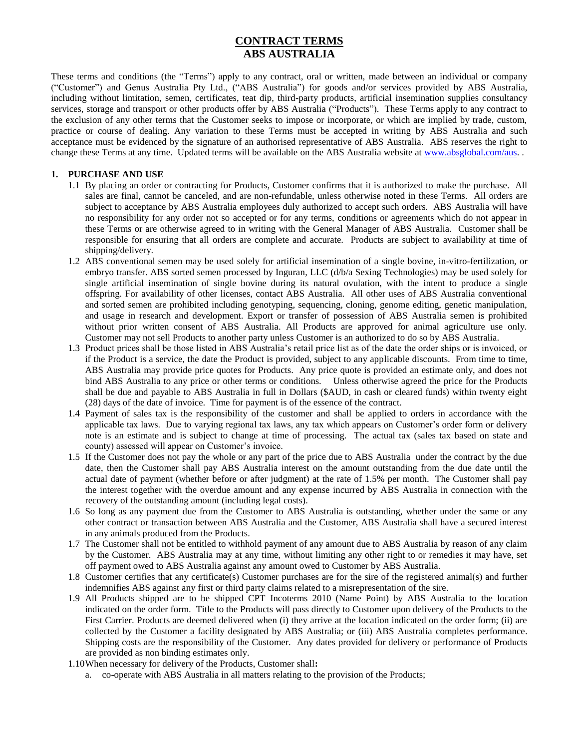# **CONTRACT TERMS ABS AUSTRALIA**

These terms and conditions (the "Terms") apply to any contract, oral or written, made between an individual or company ("Customer") and Genus Australia Pty Ltd., ("ABS Australia") for goods and/or services provided by ABS Australia, including without limitation, semen, certificates, teat dip, third-party products, artificial insemination supplies consultancy services, storage and transport or other products offer by ABS Australia ("Products"). These Terms apply to any contract to the exclusion of any other terms that the Customer seeks to impose or incorporate, or which are implied by trade, custom, practice or course of dealing. Any variation to these Terms must be accepted in writing by ABS Australia and such acceptance must be evidenced by the signature of an authorised representative of ABS Australia. ABS reserves the right to change these Terms at any time. Updated terms will be available on the ABS Australia website a[t www.absglobal.com/aus.](http://www.absglobal.com/aus) .

#### **1. PURCHASE AND USE**

- 1.1 By placing an order or contracting for Products, Customer confirms that it is authorized to make the purchase. All sales are final, cannot be canceled, and are non-refundable, unless otherwise noted in these Terms. All orders are subject to acceptance by ABS Australia employees duly authorized to accept such orders. ABS Australia will have no responsibility for any order not so accepted or for any terms, conditions or agreements which do not appear in these Terms or are otherwise agreed to in writing with the General Manager of ABS Australia. Customer shall be responsible for ensuring that all orders are complete and accurate. Products are subject to availability at time of shipping/delivery.
- 1.2 ABS conventional semen may be used solely for artificial insemination of a single bovine, in-vitro-fertilization, or embryo transfer. ABS sorted semen processed by Inguran, LLC (d/b/a Sexing Technologies) may be used solely for single artificial insemination of single bovine during its natural ovulation, with the intent to produce a single offspring. For availability of other licenses, contact ABS Australia. All other uses of ABS Australia conventional and sorted semen are prohibited including genotyping, sequencing, cloning, genome editing, genetic manipulation, and usage in research and development. Export or transfer of possession of ABS Australia semen is prohibited without prior written consent of ABS Australia. All Products are approved for animal agriculture use only. Customer may not sell Products to another party unless Customer is an authorized to do so by ABS Australia.
- 1.3 Product prices shall be those listed in ABS Australia's retail price list as of the date the order ships or is invoiced, or if the Product is a service, the date the Product is provided, subject to any applicable discounts. From time to time, ABS Australia may provide price quotes for Products. Any price quote is provided an estimate only, and does not bind ABS Australia to any price or other terms or conditions. Unless otherwise agreed the price for the Products shall be due and payable to ABS Australia in full in Dollars (\$AUD, in cash or cleared funds) within twenty eight (28) days of the date of invoice. Time for payment is of the essence of the contract.
- 1.4 Payment of sales tax is the responsibility of the customer and shall be applied to orders in accordance with the applicable tax laws. Due to varying regional tax laws, any tax which appears on Customer's order form or delivery note is an estimate and is subject to change at time of processing. The actual tax (sales tax based on state and county) assessed will appear on Customer's invoice.
- 1.5 If the Customer does not pay the whole or any part of the price due to ABS Australia under the contract by the due date, then the Customer shall pay ABS Australia interest on the amount outstanding from the due date until the actual date of payment (whether before or after judgment) at the rate of 1.5% per month. The Customer shall pay the interest together with the overdue amount and any expense incurred by ABS Australia in connection with the recovery of the outstanding amount (including legal costs).
- 1.6 So long as any payment due from the Customer to ABS Australia is outstanding, whether under the same or any other contract or transaction between ABS Australia and the Customer, ABS Australia shall have a secured interest in any animals produced from the Products.
- 1.7 The Customer shall not be entitled to withhold payment of any amount due to ABS Australia by reason of any claim by the Customer. ABS Australia may at any time, without limiting any other right to or remedies it may have, set off payment owed to ABS Australia against any amount owed to Customer by ABS Australia.
- 1.8 Customer certifies that any certificate(s) Customer purchases are for the sire of the registered animal(s) and further indemnifies ABS against any first or third party claims related to a misrepresentation of the sire.
- 1.9 All Products shipped are to be shipped CPT Incoterms 2010 (Name Point) by ABS Australia to the location indicated on the order form. Title to the Products will pass directly to Customer upon delivery of the Products to the First Carrier. Products are deemed delivered when (i) they arrive at the location indicated on the order form; (ii) are collected by the Customer a facility designated by ABS Australia; or (iii) ABS Australia completes performance. Shipping costs are the responsibility of the Customer. Any dates provided for delivery or performance of Products are provided as non binding estimates only.
- 1.10When necessary for delivery of the Products, Customer shall**:** 
	- a. co-operate with ABS Australia in all matters relating to the provision of the Products;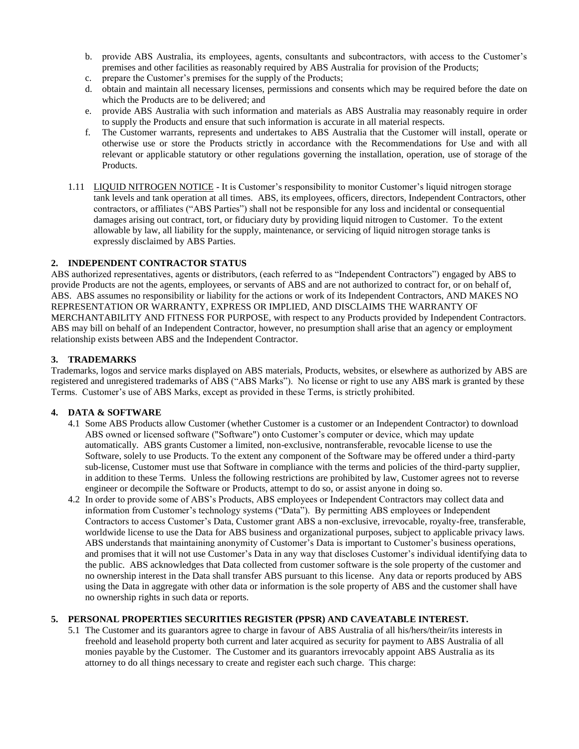- b. provide ABS Australia, its employees, agents, consultants and subcontractors, with access to the Customer's premises and other facilities as reasonably required by ABS Australia for provision of the Products;
- c. prepare the Customer's premises for the supply of the Products;
- d. obtain and maintain all necessary licenses, permissions and consents which may be required before the date on which the Products are to be delivered; and
- e. provide ABS Australia with such information and materials as ABS Australia may reasonably require in order to supply the Products and ensure that such information is accurate in all material respects.
- f. The Customer warrants, represents and undertakes to ABS Australia that the Customer will install, operate or otherwise use or store the Products strictly in accordance with the Recommendations for Use and with all relevant or applicable statutory or other regulations governing the installation, operation, use of storage of the Products.
- 1.11 LIQUID NITROGEN NOTICE It is Customer's responsibility to monitor Customer's liquid nitrogen storage tank levels and tank operation at all times. ABS, its employees, officers, directors, Independent Contractors, other contractors, or affiliates ("ABS Parties") shall not be responsible for any loss and incidental or consequential damages arising out contract, tort, or fiduciary duty by providing liquid nitrogen to Customer. To the extent allowable by law, all liability for the supply, maintenance, or servicing of liquid nitrogen storage tanks is expressly disclaimed by ABS Parties.

# **2. INDEPENDENT CONTRACTOR STATUS**

ABS authorized representatives, agents or distributors, (each referred to as "Independent Contractors") engaged by ABS to provide Products are not the agents, employees, or servants of ABS and are not authorized to contract for, or on behalf of, ABS. ABS assumes no responsibility or liability for the actions or work of its Independent Contractors, AND MAKES NO REPRESENTATION OR WARRANTY, EXPRESS OR IMPLIED, AND DISCLAIMS THE WARRANTY OF MERCHANTABILITY AND FITNESS FOR PURPOSE, with respect to any Products provided by Independent Contractors. ABS may bill on behalf of an Independent Contractor, however, no presumption shall arise that an agency or employment relationship exists between ABS and the Independent Contractor.

# **3. TRADEMARKS**

Trademarks, logos and service marks displayed on ABS materials, Products, websites, or elsewhere as authorized by ABS are registered and unregistered trademarks of ABS ("ABS Marks"). No license or right to use any ABS mark is granted by these Terms. Customer's use of ABS Marks, except as provided in these Terms, is strictly prohibited.

### **4. DATA & SOFTWARE**

- 4.1 Some ABS Products allow Customer (whether Customer is a customer or an Independent Contractor) to download ABS owned or licensed software ("Software") onto Customer's computer or device, which may update automatically. ABS grants Customer a limited, non-exclusive, nontransferable, revocable license to use the Software, solely to use Products. To the extent any component of the Software may be offered under a third-party sub-license, Customer must use that Software in compliance with the terms and policies of the third-party supplier, in addition to these Terms. Unless the following restrictions are prohibited by law, Customer agrees not to reverse engineer or decompile the Software or Products, attempt to do so, or assist anyone in doing so.
- 4.2 In order to provide some of ABS's Products, ABS employees or Independent Contractors may collect data and information from Customer's technology systems ("Data"). By permitting ABS employees or Independent Contractors to access Customer's Data, Customer grant ABS a non-exclusive, irrevocable, royalty-free, transferable, worldwide license to use the Data for ABS business and organizational purposes, subject to applicable privacy laws. ABS understands that maintaining anonymity of Customer's Data is important to Customer's business operations, and promises that it will not use Customer's Data in any way that discloses Customer's individual identifying data to the public. ABS acknowledges that Data collected from customer software is the sole property of the customer and no ownership interest in the Data shall transfer ABS pursuant to this license. Any data or reports produced by ABS using the Data in aggregate with other data or information is the sole property of ABS and the customer shall have no ownership rights in such data or reports.

# **5. PERSONAL PROPERTIES SECURITIES REGISTER (PPSR) AND CAVEATABLE INTEREST.**

5.1 The Customer and its guarantors agree to charge in favour of ABS Australia of all his/hers/their/its interests in freehold and leasehold property both current and later acquired as security for payment to ABS Australia of all monies payable by the Customer. The Customer and its guarantors irrevocably appoint ABS Australia as its attorney to do all things necessary to create and register each such charge. This charge: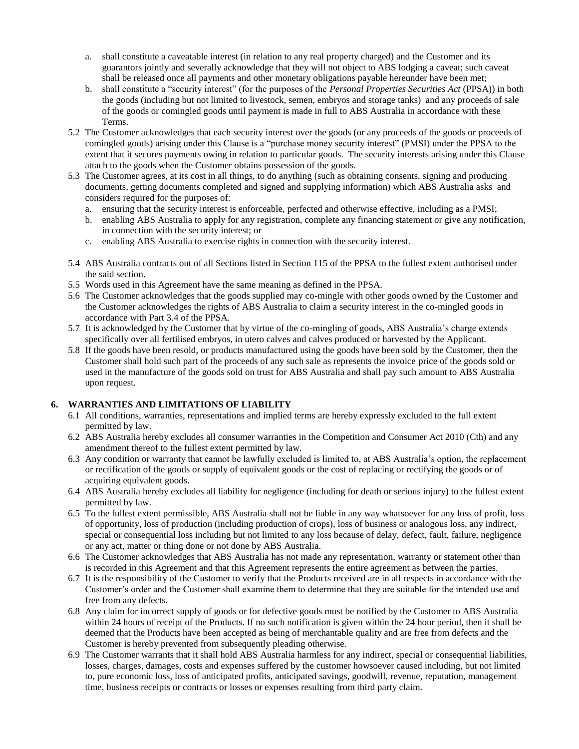- a. shall constitute a caveatable interest (in relation to any real property charged) and the Customer and its guarantors jointly and severally acknowledge that they will not object to ABS lodging a caveat; such caveat shall be released once all payments and other monetary obligations payable hereunder have been met;
- b. shall constitute a "security interest" (for the purposes of the *Personal Properties Securities Act* (PPSA)) in both the goods (including but not limited to livestock, semen, embryos and storage tanks) and any proceeds of sale of the goods or comingled goods until payment is made in full to ABS Australia in accordance with these Terms.
- 5.2 The Customer acknowledges that each security interest over the goods (or any proceeds of the goods or proceeds of comingled goods) arising under this Clause is a "purchase money security interest" (PMSI) under the PPSA to the extent that it secures payments owing in relation to particular goods. The security interests arising under this Clause attach to the goods when the Customer obtains possession of the goods.
- 5.3 The Customer agrees, at its cost in all things, to do anything (such as obtaining consents, signing and producing documents, getting documents completed and signed and supplying information) which ABS Australia asks and considers required for the purposes of:
	- a. ensuring that the security interest is enforceable, perfected and otherwise effective, including as a PMSI;
	- b. enabling ABS Australia to apply for any registration, complete any financing statement or give any notification, in connection with the security interest; or
	- c. enabling ABS Australia to exercise rights in connection with the security interest.
- 5.4 ABS Australia contracts out of all Sections listed in Section 115 of the PPSA to the fullest extent authorised under the said section.
- 5.5 Words used in this Agreement have the same meaning as defined in the PPSA.
- 5.6 The Customer acknowledges that the goods supplied may co-mingle with other goods owned by the Customer and the Customer acknowledges the rights of ABS Australia to claim a security interest in the co-mingled goods in accordance with Part 3.4 of the PPSA.
- 5.7 It is acknowledged by the Customer that by virtue of the co-mingling of goods, ABS Australia's charge extends specifically over all fertilised embryos, in utero calves and calves produced or harvested by the Applicant.
- 5.8 If the goods have been resold, or products manufactured using the goods have been sold by the Customer, then the Customer shall hold such part of the proceeds of any such sale as represents the invoice price of the goods sold or used in the manufacture of the goods sold on trust for ABS Australia and shall pay such amount to ABS Australia upon request.

### **6. WARRANTIES AND LIMITATIONS OF LIABILITY**

- 6.1 All conditions, warranties, representations and implied terms are hereby expressly excluded to the full extent permitted by law.
- 6.2 ABS Australia hereby excludes all consumer warranties in the Competition and Consumer Act 2010 (Cth) and any amendment thereof to the fullest extent permitted by law.
- 6.3 Any condition or warranty that cannot be lawfully excluded is limited to, at ABS Australia's option, the replacement or rectification of the goods or supply of equivalent goods or the cost of replacing or rectifying the goods or of acquiring equivalent goods.
- 6.4 ABS Australia hereby excludes all liability for negligence (including for death or serious injury) to the fullest extent permitted by law.
- 6.5 To the fullest extent permissible, ABS Australia shall not be liable in any way whatsoever for any loss of profit, loss of opportunity, loss of production (including production of crops), loss of business or analogous loss, any indirect, special or consequential loss including but not limited to any loss because of delay, defect, fault, failure, negligence or any act, matter or thing done or not done by ABS Australia.
- 6.6 The Customer acknowledges that ABS Australia has not made any representation, warranty or statement other than is recorded in this Agreement and that this Agreement represents the entire agreement as between the parties.
- 6.7 It is the responsibility of the Customer to verify that the Products received are in all respects in accordance with the Customer's order and the Customer shall examine them to determine that they are suitable for the intended use and free from any defects.
- 6.8 Any claim for incorrect supply of goods or for defective goods must be notified by the Customer to ABS Australia within 24 hours of receipt of the Products. If no such notification is given within the 24 hour period, then it shall be deemed that the Products have been accepted as being of merchantable quality and are free from defects and the Customer is hereby prevented from subsequently pleading otherwise.
- 6.9 The Customer warrants that it shall hold ABS Australia harmless for any indirect, special or consequential liabilities, losses, charges, damages, costs and expenses suffered by the customer howsoever caused including, but not limited to, pure economic loss, loss of anticipated profits, anticipated savings, goodwill, revenue, reputation, management time, business receipts or contracts or losses or expenses resulting from third party claim.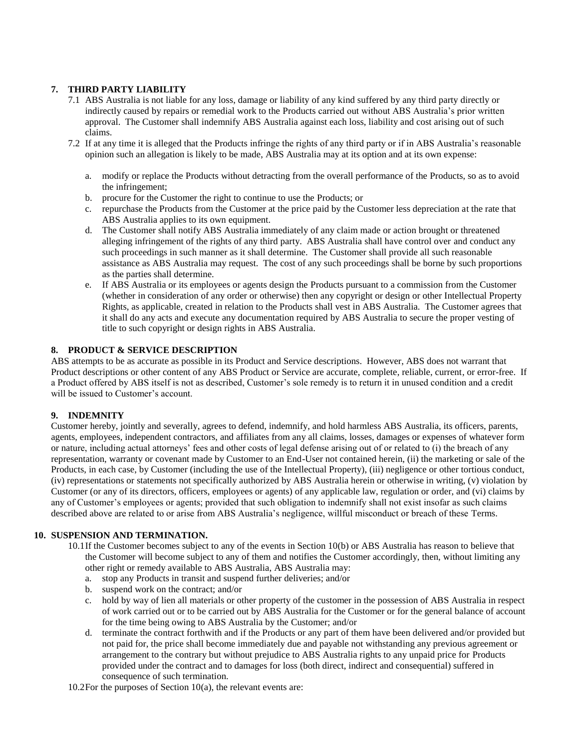# **7. THIRD PARTY LIABILITY**

- 7.1 ABS Australia is not liable for any loss, damage or liability of any kind suffered by any third party directly or indirectly caused by repairs or remedial work to the Products carried out without ABS Australia's prior written approval. The Customer shall indemnify ABS Australia against each loss, liability and cost arising out of such claims.
- 7.2 If at any time it is alleged that the Products infringe the rights of any third party or if in ABS Australia's reasonable opinion such an allegation is likely to be made, ABS Australia may at its option and at its own expense:
	- a. modify or replace the Products without detracting from the overall performance of the Products, so as to avoid the infringement;
	- b. procure for the Customer the right to continue to use the Products; or
	- c. repurchase the Products from the Customer at the price paid by the Customer less depreciation at the rate that ABS Australia applies to its own equipment.
	- d. The Customer shall notify ABS Australia immediately of any claim made or action brought or threatened alleging infringement of the rights of any third party. ABS Australia shall have control over and conduct any such proceedings in such manner as it shall determine. The Customer shall provide all such reasonable assistance as ABS Australia may request. The cost of any such proceedings shall be borne by such proportions as the parties shall determine.
	- e. If ABS Australia or its employees or agents design the Products pursuant to a commission from the Customer (whether in consideration of any order or otherwise) then any copyright or design or other Intellectual Property Rights, as applicable, created in relation to the Products shall vest in ABS Australia. The Customer agrees that it shall do any acts and execute any documentation required by ABS Australia to secure the proper vesting of title to such copyright or design rights in ABS Australia.

### **8. PRODUCT & SERVICE DESCRIPTION**

ABS attempts to be as accurate as possible in its Product and Service descriptions. However, ABS does not warrant that Product descriptions or other content of any ABS Product or Service are accurate, complete, reliable, current, or error-free. If a Product offered by ABS itself is not as described, Customer's sole remedy is to return it in unused condition and a credit will be issued to Customer's account.

### **9. INDEMNITY**

Customer hereby, jointly and severally, agrees to defend, indemnify, and hold harmless ABS Australia, its officers, parents, agents, employees, independent contractors, and affiliates from any all claims, losses, damages or expenses of whatever form or nature, including actual attorneys' fees and other costs of legal defense arising out of or related to (i) the breach of any representation, warranty or covenant made by Customer to an End-User not contained herein, (ii) the marketing or sale of the Products, in each case, by Customer (including the use of the Intellectual Property), (iii) negligence or other tortious conduct, (iv) representations or statements not specifically authorized by ABS Australia herein or otherwise in writing, (v) violation by Customer (or any of its directors, officers, employees or agents) of any applicable law, regulation or order, and (vi) claims by any of Customer's employees or agents; provided that such obligation to indemnify shall not exist insofar as such claims described above are related to or arise from ABS Australia's negligence, willful misconduct or breach of these Terms.

### **10. SUSPENSION AND TERMINATION.**

- 10.1If the Customer becomes subject to any of the events in Section 10(b) or ABS Australia has reason to believe that the Customer will become subject to any of them and notifies the Customer accordingly, then, without limiting any other right or remedy available to ABS Australia, ABS Australia may:
	- a. stop any Products in transit and suspend further deliveries; and/or
	- b. suspend work on the contract; and/or
	- c. hold by way of lien all materials or other property of the customer in the possession of ABS Australia in respect of work carried out or to be carried out by ABS Australia for the Customer or for the general balance of account for the time being owing to ABS Australia by the Customer; and/or
	- d. terminate the contract forthwith and if the Products or any part of them have been delivered and/or provided but not paid for, the price shall become immediately due and payable not withstanding any previous agreement or arrangement to the contrary but without prejudice to ABS Australia rights to any unpaid price for Products provided under the contract and to damages for loss (both direct, indirect and consequential) suffered in consequence of such termination.

10.2For the purposes of Section  $10(a)$ , the relevant events are: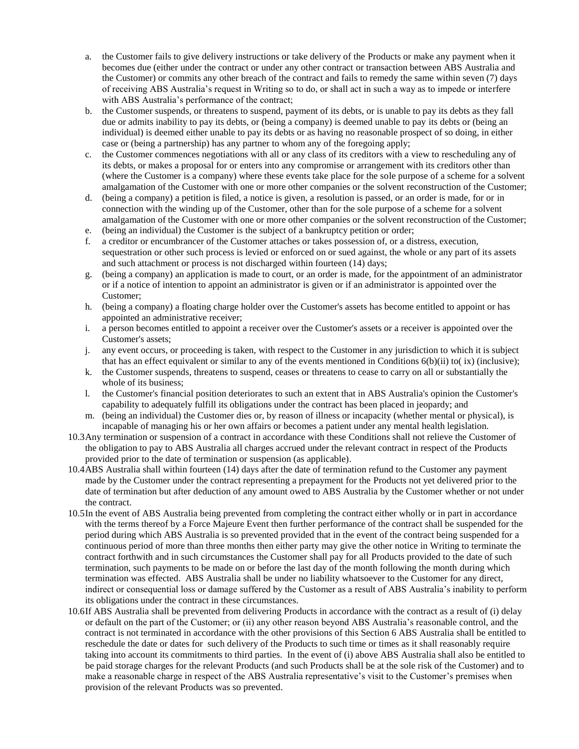- a. the Customer fails to give delivery instructions or take delivery of the Products or make any payment when it becomes due (either under the contract or under any other contract or transaction between ABS Australia and the Customer) or commits any other breach of the contract and fails to remedy the same within seven (7) days of receiving ABS Australia's request in Writing so to do, or shall act in such a way as to impede or interfere with ABS Australia's performance of the contract;
- b. the Customer suspends, or threatens to suspend, payment of its debts, or is unable to pay its debts as they fall due or admits inability to pay its debts, or (being a company) is deemed unable to pay its debts or (being an individual) is deemed either unable to pay its debts or as having no reasonable prospect of so doing, in either case or (being a partnership) has any partner to whom any of the foregoing apply;
- c. the Customer commences negotiations with all or any class of its creditors with a view to rescheduling any of its debts, or makes a proposal for or enters into any compromise or arrangement with its creditors other than (where the Customer is a company) where these events take place for the sole purpose of a scheme for a solvent amalgamation of the Customer with one or more other companies or the solvent reconstruction of the Customer;
- d. (being a company) a petition is filed, a notice is given, a resolution is passed, or an order is made, for or in connection with the winding up of the Customer, other than for the sole purpose of a scheme for a solvent amalgamation of the Customer with one or more other companies or the solvent reconstruction of the Customer;
- e. (being an individual) the Customer is the subject of a bankruptcy petition or order;
- f. a creditor or encumbrancer of the Customer attaches or takes possession of, or a distress, execution, sequestration or other such process is levied or enforced on or sued against, the whole or any part of its assets and such attachment or process is not discharged within fourteen (14) days;
- g. (being a company) an application is made to court, or an order is made, for the appointment of an administrator or if a notice of intention to appoint an administrator is given or if an administrator is appointed over the Customer;
- h. (being a company) a floating charge holder over the Customer's assets has become entitled to appoint or has appointed an administrative receiver;
- i. a person becomes entitled to appoint a receiver over the Customer's assets or a receiver is appointed over the Customer's assets;
- j. any event occurs, or proceeding is taken, with respect to the Customer in any jurisdiction to which it is subject that has an effect equivalent or similar to any of the events mentioned in Conditions 6(b)(ii) to( ix) (inclusive);
- k. the Customer suspends, threatens to suspend, ceases or threatens to cease to carry on all or substantially the whole of its business;
- l. the Customer's financial position deteriorates to such an extent that in ABS Australia's opinion the Customer's capability to adequately fulfill its obligations under the contract has been placed in jeopardy; and
- m. (being an individual) the Customer dies or, by reason of illness or incapacity (whether mental or physical), is incapable of managing his or her own affairs or becomes a patient under any mental health legislation.
- 10.3Any termination or suspension of a contract in accordance with these Conditions shall not relieve the Customer of the obligation to pay to ABS Australia all charges accrued under the relevant contract in respect of the Products provided prior to the date of termination or suspension (as applicable).
- 10.4ABS Australia shall within fourteen (14) days after the date of termination refund to the Customer any payment made by the Customer under the contract representing a prepayment for the Products not yet delivered prior to the date of termination but after deduction of any amount owed to ABS Australia by the Customer whether or not under the contract.
- 10.5In the event of ABS Australia being prevented from completing the contract either wholly or in part in accordance with the terms thereof by a Force Majeure Event then further performance of the contract shall be suspended for the period during which ABS Australia is so prevented provided that in the event of the contract being suspended for a continuous period of more than three months then either party may give the other notice in Writing to terminate the contract forthwith and in such circumstances the Customer shall pay for all Products provided to the date of such termination, such payments to be made on or before the last day of the month following the month during which termination was effected. ABS Australia shall be under no liability whatsoever to the Customer for any direct, indirect or consequential loss or damage suffered by the Customer as a result of ABS Australia's inability to perform its obligations under the contract in these circumstances.
- 10.6If ABS Australia shall be prevented from delivering Products in accordance with the contract as a result of (i) delay or default on the part of the Customer; or (ii) any other reason beyond ABS Australia's reasonable control, and the contract is not terminated in accordance with the other provisions of this Section 6 ABS Australia shall be entitled to reschedule the date or dates for such delivery of the Products to such time or times as it shall reasonably require taking into account its commitments to third parties. In the event of (i) above ABS Australia shall also be entitled to be paid storage charges for the relevant Products (and such Products shall be at the sole risk of the Customer) and to make a reasonable charge in respect of the ABS Australia representative's visit to the Customer's premises when provision of the relevant Products was so prevented.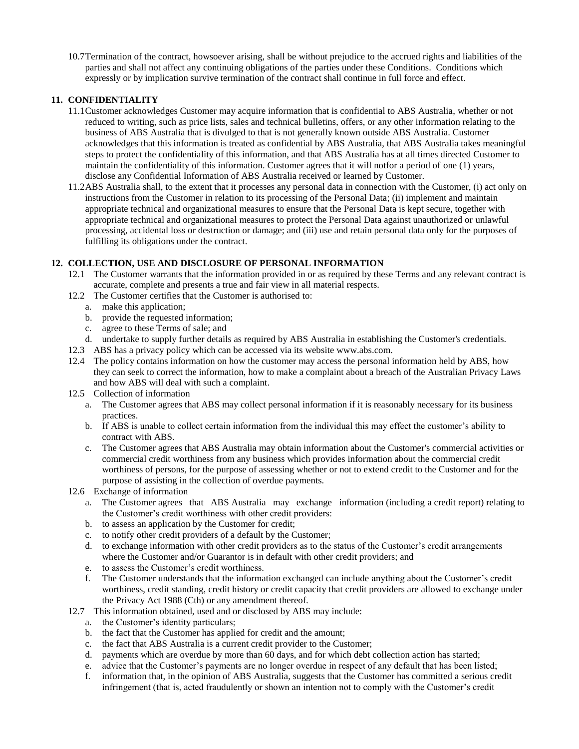10.7Termination of the contract, howsoever arising, shall be without prejudice to the accrued rights and liabilities of the parties and shall not affect any continuing obligations of the parties under these Conditions. Conditions which expressly or by implication survive termination of the contract shall continue in full force and effect.

### **11. CONFIDENTIALITY**

- 11.1Customer acknowledges Customer may acquire information that is confidential to ABS Australia, whether or not reduced to writing, such as price lists, sales and technical bulletins, offers, or any other information relating to the business of ABS Australia that is divulged to that is not generally known outside ABS Australia. Customer acknowledges that this information is treated as confidential by ABS Australia, that ABS Australia takes meaningful steps to protect the confidentiality of this information, and that ABS Australia has at all times directed Customer to maintain the confidentiality of this information. Customer agrees that it will notfor a period of one (1) years, disclose any Confidential Information of ABS Australia received or learned by Customer.
- 11.2ABS Australia shall, to the extent that it processes any personal data in connection with the Customer, (i) act only on instructions from the Customer in relation to its processing of the Personal Data; (ii) implement and maintain appropriate technical and organizational measures to ensure that the Personal Data is kept secure, together with appropriate technical and organizational measures to protect the Personal Data against unauthorized or unlawful processing, accidental loss or destruction or damage; and (iii) use and retain personal data only for the purposes of fulfilling its obligations under the contract.

# **12. COLLECTION, USE AND DISCLOSURE OF PERSONAL INFORMATION**

- 12.1 The Customer warrants that the information provided in or as required by these Terms and any relevant contract is accurate, complete and presents a true and fair view in all material respects.
- 12.2 The Customer certifies that the Customer is authorised to:
	- a. make this application;
		- b. provide the requested information;
	- c. agree to these Terms of sale; and
	- d. undertake to supply further details as required by ABS Australia in establishing the Customer's credentials.
- 12.3 ABS has a privacy policy which can be accessed via its website www.abs.com.
- 12.4 The policy contains information on how the customer may access the personal information held by ABS, how they can seek to correct the information, how to make a complaint about a breach of the Australian Privacy Laws and how ABS will deal with such a complaint.
- 12.5 Collection of information
	- a. The Customer agrees that ABS may collect personal information if it is reasonably necessary for its business practices.
	- b. If ABS is unable to collect certain information from the individual this may effect the customer's ability to contract with ABS.
	- c. The Customer agrees that ABS Australia may obtain information about the Customer's commercial activities or commercial credit worthiness from any business which provides information about the commercial credit worthiness of persons, for the purpose of assessing whether or not to extend credit to the Customer and for the purpose of assisting in the collection of overdue payments.
- 12.6 Exchange of information
	- a. The Customer agrees that ABS Australia may exchange information (including a credit report) relating to the Customer's credit worthiness with other credit providers:
	- b. to assess an application by the Customer for credit;
	- c. to notify other credit providers of a default by the Customer;
	- d. to exchange information with other credit providers as to the status of the Customer's credit arrangements where the Customer and/or Guarantor is in default with other credit providers; and
	- e. to assess the Customer's credit worthiness.
	- f. The Customer understands that the information exchanged can include anything about the Customer's credit worthiness, credit standing, credit history or credit capacity that credit providers are allowed to exchange under the Privacy Act 1988 (Cth) or any amendment thereof.
- 12.7 This information obtained, used and or disclosed by ABS may include:
	- a. the Customer's identity particulars;
	- b. the fact that the Customer has applied for credit and the amount;
	- c. the fact that ABS Australia is a current credit provider to the Customer;
	- d. payments which are overdue by more than 60 days, and for which debt collection action has started;
	- e. advice that the Customer's payments are no longer overdue in respect of any default that has been listed;
	- f. information that, in the opinion of ABS Australia, suggests that the Customer has committed a serious credit infringement (that is, acted fraudulently or shown an intention not to comply with the Customer's credit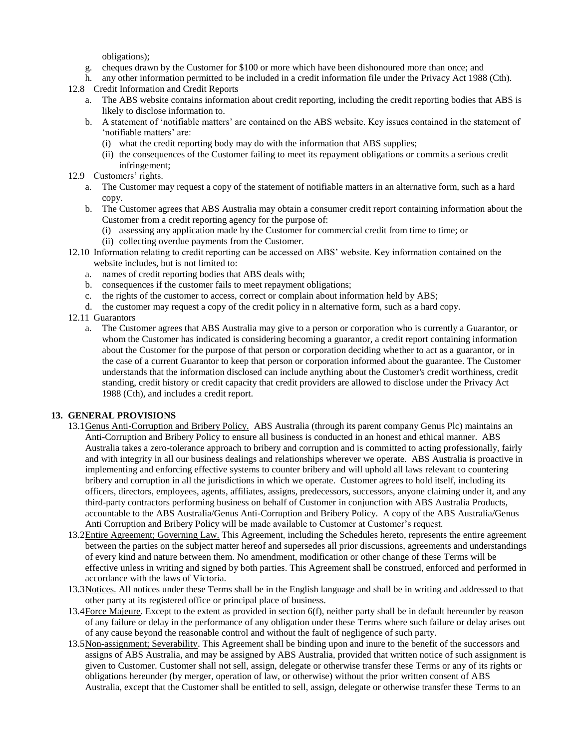obligations);

- g. cheques drawn by the Customer for \$100 or more which have been dishonoured more than once; and
- h. any other information permitted to be included in a credit information file under the Privacy Act 1988 (Cth).
- 12.8 Credit Information and Credit Reports
	- a. The ABS website contains information about credit reporting, including the credit reporting bodies that ABS is likely to disclose information to.
	- b. A statement of 'notifiable matters' are contained on the ABS website. Key issues contained in the statement of 'notifiable matters' are:
		- (i) what the credit reporting body may do with the information that ABS supplies;
		- (ii) the consequences of the Customer failing to meet its repayment obligations or commits a serious credit infringement;
- 12.9 Customers' rights.
	- a. The Customer may request a copy of the statement of notifiable matters in an alternative form, such as a hard copy.
	- b. The Customer agrees that ABS Australia may obtain a consumer credit report containing information about the Customer from a credit reporting agency for the purpose of:
		- (i) assessing any application made by the Customer for commercial credit from time to time; or
		- (ii) collecting overdue payments from the Customer.
- 12.10 Information relating to credit reporting can be accessed on ABS' website. Key information contained on the website includes, but is not limited to:
	- a. names of credit reporting bodies that ABS deals with;
	- b. consequences if the customer fails to meet repayment obligations;
	- c. the rights of the customer to access, correct or complain about information held by ABS;
	- d. the customer may request a copy of the credit policy in n alternative form, such as a hard copy.
- 12.11 Guarantors
	- a. The Customer agrees that ABS Australia may give to a person or corporation who is currently a Guarantor, or whom the Customer has indicated is considering becoming a guarantor, a credit report containing information about the Customer for the purpose of that person or corporation deciding whether to act as a guarantor, or in the case of a current Guarantor to keep that person or corporation informed about the guarantee. The Customer understands that the information disclosed can include anything about the Customer's credit worthiness, credit standing, credit history or credit capacity that credit providers are allowed to disclose under the Privacy Act 1988 (Cth), and includes a credit report.

### **13. GENERAL PROVISIONS**

- 13.1 Genus Anti-Corruption and Bribery Policy. ABS Australia (through its parent company Genus Plc) maintains an Anti-Corruption and Bribery Policy to ensure all business is conducted in an honest and ethical manner. ABS Australia takes a zero-tolerance approach to bribery and corruption and is committed to acting professionally, fairly and with integrity in all our business dealings and relationships wherever we operate. ABS Australia is proactive in implementing and enforcing effective systems to counter bribery and will uphold all laws relevant to countering bribery and corruption in all the jurisdictions in which we operate. Customer agrees to hold itself, including its officers, directors, employees, agents, affiliates, assigns, predecessors, successors, anyone claiming under it, and any third-party contractors performing business on behalf of Customer in conjunction with ABS Australia Products, accountable to the ABS Australia/Genus Anti-Corruption and Bribery Policy. A copy of the ABS Australia/Genus Anti Corruption and Bribery Policy will be made available to Customer at Customer's request.
- 13.2Entire Agreement; Governing Law. This Agreement, including the Schedules hereto, represents the entire agreement between the parties on the subject matter hereof and supersedes all prior discussions, agreements and understandings of every kind and nature between them. No amendment, modification or other change of these Terms will be effective unless in writing and signed by both parties. This Agreement shall be construed, enforced and performed in accordance with the laws of Victoria.
- 13.3Notices. All notices under these Terms shall be in the English language and shall be in writing and addressed to that other party at its registered office or principal place of business.
- 13.4Force Majeure. Except to the extent as provided in section 6(f), neither party shall be in default hereunder by reason of any failure or delay in the performance of any obligation under these Terms where such failure or delay arises out of any cause beyond the reasonable control and without the fault of negligence of such party.
- 13.5Non-assignment; Severability. This Agreement shall be binding upon and inure to the benefit of the successors and assigns of ABS Australia, and may be assigned by ABS Australia, provided that written notice of such assignment is given to Customer. Customer shall not sell, assign, delegate or otherwise transfer these Terms or any of its rights or obligations hereunder (by merger, operation of law, or otherwise) without the prior written consent of ABS Australia, except that the Customer shall be entitled to sell, assign, delegate or otherwise transfer these Terms to an